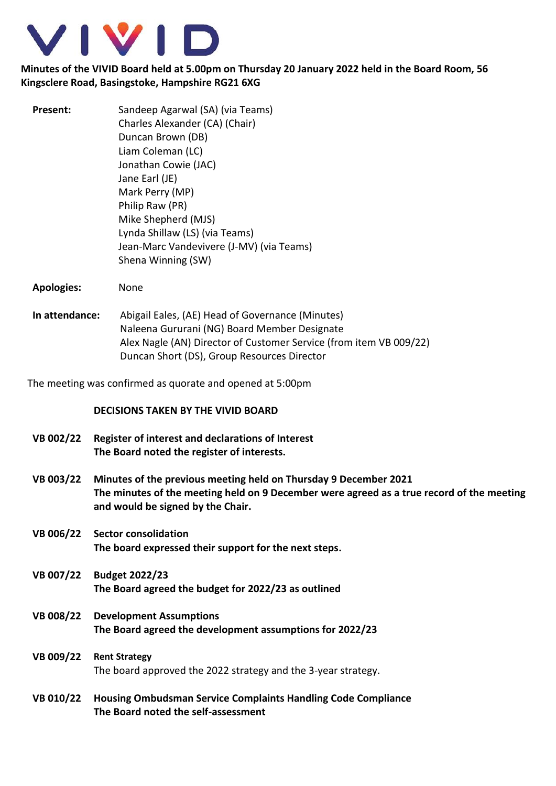

## **Minutes of the VIVID Board held at 5.00pm on Thursday 20 January 2022 held in the Board Room, 56 Kingsclere Road, Basingstoke, Hampshire RG21 6XG**

| Present: | Sandeep Agarwal (SA) (via Teams)<br>Charles Alexander (CA) (Chair)<br>Duncan Brown (DB)<br>Liam Coleman (LC)<br>Jonathan Cowie (JAC)<br>Jane Earl (JE)<br>Mark Perry (MP)<br>Philip Raw (PR)<br>Mike Shepherd (MJS)<br>Lynda Shillaw (LS) (via Teams)<br>Jean-Marc Vandevivere (J-MV) (via Teams) |
|----------|---------------------------------------------------------------------------------------------------------------------------------------------------------------------------------------------------------------------------------------------------------------------------------------------------|
|          | Shena Winning (SW)                                                                                                                                                                                                                                                                                |

- **Apologies:** None
- **In attendance:** Abigail Eales, (AE) Head of Governance (Minutes) Naleena Gururani (NG) Board Member Designate Alex Nagle (AN) Director of Customer Service (from item VB 009/22) Duncan Short (DS), Group Resources Director

The meeting was confirmed as quorate and opened at 5:00pm

## **DECISIONS TAKEN BY THE VIVID BOARD**

- **VB 002/22 Register of interest and declarations of Interest The Board noted the register of interests.**
- **VB 003/22 Minutes of the previous meeting held on Thursday 9 December 2021 The minutes of the meeting held on 9 December were agreed as a true record of the meeting and would be signed by the Chair.**
- **VB 006/22 Sector consolidation The board expressed their support for the next steps.**
- **VB 007/22 Budget 2022/23 The Board agreed the budget for 2022/23 as outlined**
- **VB 008/22 Development Assumptions The Board agreed the development assumptions for 2022/23**
- **VB 009/22 Rent Strategy** The board approved the 2022 strategy and the 3-year strategy.
- **VB 010/22 Housing Ombudsman Service Complaints Handling Code Compliance The Board noted the self-assessment**